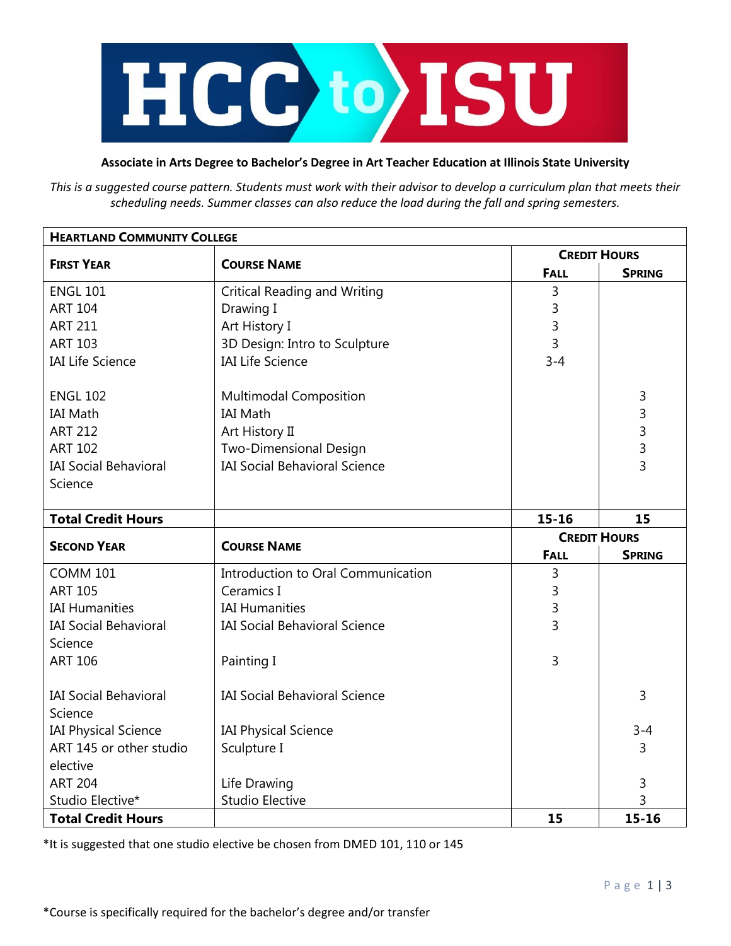

## **Associate in Arts Degree to Bachelor's Degree in Art Teacher Education at Illinois State University**

*This is a suggested course pattern. Students must work with their advisor to develop a curriculum plan that meets their scheduling needs. Summer classes can also reduce the load during the fall and spring semesters.*

| <b>HEARTLAND COMMUNITY COLLEGE</b>            |                                      |                     |                |  |
|-----------------------------------------------|--------------------------------------|---------------------|----------------|--|
| <b>FIRST YEAR</b>                             | <b>COURSE NAME</b>                   | <b>CREDIT HOURS</b> |                |  |
|                                               |                                      | <b>FALL</b>         | <b>SPRING</b>  |  |
| <b>ENGL 101</b>                               | <b>Critical Reading and Writing</b>  | 3                   |                |  |
| <b>ART 104</b>                                | Drawing I                            | 3                   |                |  |
| <b>ART 211</b>                                | Art History I                        | 3                   |                |  |
| <b>ART 103</b>                                | 3D Design: Intro to Sculpture        | 3                   |                |  |
| <b>IAI Life Science</b>                       | <b>IAI Life Science</b>              | $3 - 4$             |                |  |
| <b>ENGL 102</b>                               | <b>Multimodal Composition</b>        |                     | 3              |  |
| <b>IAI Math</b>                               | <b>IAI Math</b>                      |                     | 3              |  |
| <b>ART 212</b>                                | Art History II                       |                     | 3              |  |
| <b>ART 102</b>                                | Two-Dimensional Design               |                     | 3              |  |
| <b>IAI Social Behavioral</b>                  | <b>IAI Social Behavioral Science</b> |                     | $\overline{3}$ |  |
| Science                                       |                                      |                     |                |  |
|                                               |                                      |                     |                |  |
| <b>Total Credit Hours</b>                     |                                      | $15 - 16$           | 15             |  |
| <b>SECOND YEAR</b>                            | <b>COURSE NAME</b>                   | <b>CREDIT HOURS</b> |                |  |
|                                               |                                      | <b>FALL</b>         | <b>SPRING</b>  |  |
| <b>COMM 101</b>                               | Introduction to Oral Communication   | 3                   |                |  |
| <b>ART 105</b>                                | Ceramics I                           | 3                   |                |  |
| <b>IAI Humanities</b>                         | <b>IAI Humanities</b>                |                     |                |  |
|                                               |                                      | 3                   |                |  |
| <b>IAI Social Behavioral</b>                  | <b>IAI Social Behavioral Science</b> | 3                   |                |  |
| Science                                       |                                      |                     |                |  |
| <b>ART 106</b>                                | Painting I                           | 3                   |                |  |
|                                               |                                      |                     |                |  |
| <b>IAI Social Behavioral</b>                  | <b>IAI Social Behavioral Science</b> |                     | 3              |  |
| Science                                       |                                      |                     |                |  |
| <b>IAI Physical Science</b>                   | <b>IAI Physical Science</b>          |                     | $3 - 4$        |  |
| ART 145 or other studio                       | Sculpture I                          |                     | 3              |  |
| elective                                      |                                      |                     |                |  |
| <b>ART 204</b>                                | Life Drawing                         |                     | 3              |  |
| Studio Elective*<br><b>Total Credit Hours</b> | <b>Studio Elective</b>               | 15                  | 3<br>$15 - 16$ |  |

\*It is suggested that one studio elective be chosen from DMED 101, 110 or 145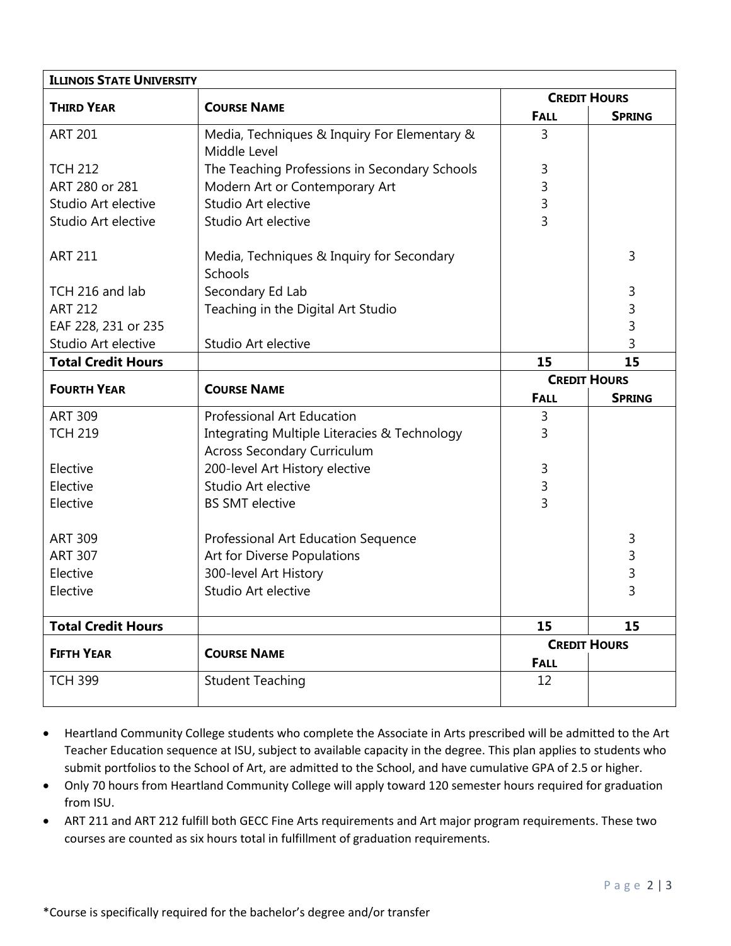| <b>ILLINOIS STATE UNIVERSITY</b>              |                                                                                                                                                                                                                                                          |                                         |  |  |
|-----------------------------------------------|----------------------------------------------------------------------------------------------------------------------------------------------------------------------------------------------------------------------------------------------------------|-----------------------------------------|--|--|
| <b>COURSE NAME</b>                            | <b>CREDIT HOURS</b>                                                                                                                                                                                                                                      |                                         |  |  |
|                                               | <b>FALL</b>                                                                                                                                                                                                                                              | <b>SPRING</b>                           |  |  |
| Media, Techniques & Inquiry For Elementary &  | 3                                                                                                                                                                                                                                                        |                                         |  |  |
| Middle Level                                  |                                                                                                                                                                                                                                                          |                                         |  |  |
| The Teaching Professions in Secondary Schools | 3                                                                                                                                                                                                                                                        |                                         |  |  |
| Modern Art or Contemporary Art                | 3                                                                                                                                                                                                                                                        |                                         |  |  |
| Studio Art elective                           | 3                                                                                                                                                                                                                                                        |                                         |  |  |
| Studio Art elective                           | 3                                                                                                                                                                                                                                                        |                                         |  |  |
| Media, Techniques & Inquiry for Secondary     |                                                                                                                                                                                                                                                          | 3                                       |  |  |
| Schools                                       |                                                                                                                                                                                                                                                          |                                         |  |  |
| Secondary Ed Lab                              |                                                                                                                                                                                                                                                          | 3                                       |  |  |
| Teaching in the Digital Art Studio            |                                                                                                                                                                                                                                                          | 3                                       |  |  |
|                                               |                                                                                                                                                                                                                                                          | 3                                       |  |  |
| Studio Art elective                           |                                                                                                                                                                                                                                                          | 3                                       |  |  |
|                                               | 15                                                                                                                                                                                                                                                       | 15                                      |  |  |
|                                               | <b>CREDIT HOURS</b>                                                                                                                                                                                                                                      |                                         |  |  |
|                                               | <b>FALL</b>                                                                                                                                                                                                                                              | <b>SPRING</b>                           |  |  |
| Professional Art Education                    | 3                                                                                                                                                                                                                                                        |                                         |  |  |
|                                               | 3                                                                                                                                                                                                                                                        |                                         |  |  |
|                                               |                                                                                                                                                                                                                                                          |                                         |  |  |
|                                               | 3                                                                                                                                                                                                                                                        |                                         |  |  |
|                                               |                                                                                                                                                                                                                                                          |                                         |  |  |
|                                               |                                                                                                                                                                                                                                                          |                                         |  |  |
|                                               |                                                                                                                                                                                                                                                          | 3                                       |  |  |
| Art for Diverse Populations                   |                                                                                                                                                                                                                                                          | 3                                       |  |  |
| 300-level Art History                         |                                                                                                                                                                                                                                                          | $\frac{3}{3}$                           |  |  |
| Studio Art elective                           |                                                                                                                                                                                                                                                          |                                         |  |  |
|                                               | 15                                                                                                                                                                                                                                                       | 15                                      |  |  |
|                                               | <b>CREDIT HOURS</b>                                                                                                                                                                                                                                      |                                         |  |  |
|                                               | <b>FALL</b>                                                                                                                                                                                                                                              |                                         |  |  |
|                                               |                                                                                                                                                                                                                                                          |                                         |  |  |
|                                               | <b>COURSE NAME</b><br>Integrating Multiple Literacies & Technology<br><b>Across Secondary Curriculum</b><br>200-level Art History elective<br>Studio Art elective<br><b>BS SMT elective</b><br>Professional Art Education Sequence<br><b>COURSE NAME</b> | 3<br>3<br><b>Student Teaching</b><br>12 |  |  |

- Heartland Community College students who complete the Associate in Arts prescribed will be admitted to the Art Teacher Education sequence at ISU, subject to available capacity in the degree. This plan applies to students who submit portfolios to the School of Art, are admitted to the School, and have cumulative GPA of 2.5 or higher.
- Only 70 hours from Heartland Community College will apply toward 120 semester hours required for graduation from ISU.
- ART 211 and ART 212 fulfill both GECC Fine Arts requirements and Art major program requirements. These two courses are counted as six hours total in fulfillment of graduation requirements.